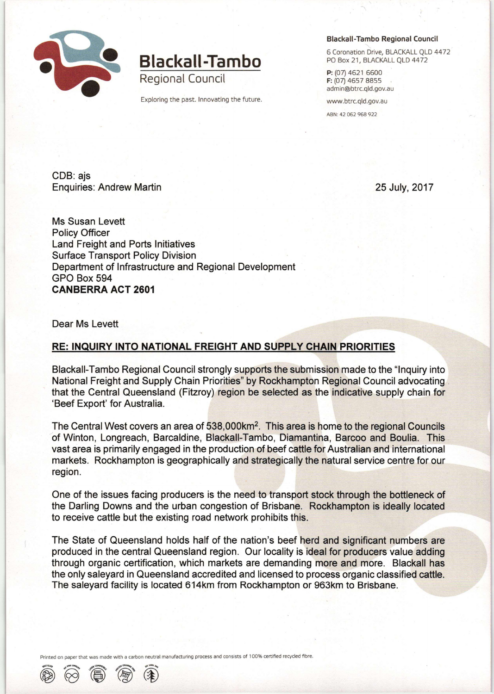

## Blackall-Tambo

Regional Council

Exploring the past. Innovating the future.

## Blackall-Tambo Regional Council

6 Coronation Drive, BLACKALL QLD 4472 PO Box 21, BLACKALL QLD 4472

P: (07) 4621 6600 F: (07) 4657 8855 adrnin@btrc.qld.gov.au

www.btrc.qld.gov.au

ABN: 42 062 968 922

CDB: ajs Enquiries: Andrew Martin 25 July, 2017

Ms Susan Levett Policy Officer Land Freight and Ports Initiatives Surface Transport Policy Division Department of Infrastructure and Regional Development GPO Box 594 CANBERRA ACT 2601

Dear Ms Levett

## RE: INQUIRY INTO NATIONAL FREIGHT AND SUPPLY CHAIN PRIORITIES

Blackall-Tambo Regional Council strongly supports the submission made to the "Inquiry into National Freight and Supply Chain Priorities" by Rockhampton Regional Council advocating that the Central Queensland (Fitzroy) region be selected as the indicative supply chain for 'Beef Export' for Australia.

The Central West covers an area of 538,000km<sup>2</sup>. This area is home to the regional Councils of Winton, Longreach, Barcaldine, Blackall-Tambo, Diamantina, Barcoo and Boulia. This vast area is primarily engaged in the production of beef cattle for Australian and international markets. Rockhampton is geographically and strategically the natural service centre for our region.

One of the issues facing producers is the need to transport stock through the bottleneck of the Darling Downs and the urban congestion of Brisbane. Rockhampton is ideally located to receive cattle but the existing road network prohibits this.

The State of Queensland holds half of the nation's beef herd and significant numbers are produced in the central Queensland region. Our locality is ideal for producers value adding through organic certification, which markets are demanding more and more. Blackall has the only saleyard in Queensland accredited and licensed to process organic classified cattle. The saleyard facility is located 614km from Rockhampton or 963km to Brisbane.

with a carbon neutral manufacturing process and consists of 100% certified recycled fibre.